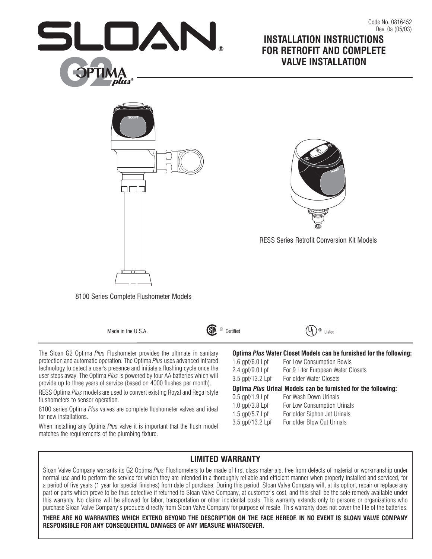

# Rev. 0a (05/03) **INSTALLATION INSTRUCTIONS FOR RETROFIT AND COMPLETE VALVE INSTALLATION**

Code No. 0816452



Made in the U.S.A.

<u>(ම</u> Certified



The Sloan G2 Optima *Plus* Flushometer provides the ultimate in sanitary protection and automatic operation. The Optima *Plus* uses advanced infrared technology to detect a user's presence and initiate a flushing cycle once the user steps away. The Optima *Plus* is powered by four AA batteries which will provide up to three years of service (based on 4000 flushes per month).

RESS Optima *Plus* models are used to convert existing Royal and Regal style flushometers to sensor operation.

8100 series Optima *Plus* valves are complete flushometer valves and ideal for new installations.

When installing any Optima *Plus* valve it is important that the flush model matches the requirements of the plumbing fixture.

| Optima Plus Water Closet Models can be furnished for the following: |  |
|---------------------------------------------------------------------|--|
|---------------------------------------------------------------------|--|

| Optima Plus Urinal Models can be furnished for the following: |                                    |  |  |
|---------------------------------------------------------------|------------------------------------|--|--|
| 3.5 gpf/13.2 Lpf                                              | For older Water Closets            |  |  |
| 2.4 $qpf/9.0 Lpf$                                             | For 9 Liter European Water Closets |  |  |
| 1.6 $qpf/6.0$ Lpf                                             | For Low Consumption Bowls          |  |  |

| $0.5$ gpf/1.9 Lpf | For Wash Down Urinals        |
|-------------------|------------------------------|
| 1.0 $qpf/3.8 Lpf$ | For Low Consumption Urinals  |
| 1.5 $qpf/5.7 Lpf$ | For older Siphon Jet Urinals |
| 3.5 gpf/13.2 Lpf  | For older Blow Out Urinals   |
|                   |                              |

# **LIMITED WARRANTY**

Sloan Valve Company warrants its G2 Optima *Plus* Flushometers to be made of first class materials, free from defects of material or workmanship under normal use and to perform the service for which they are intended in a thoroughly reliable and efficient manner when properly installed and serviced, for a period of five years (1 year for special finishes) from date of purchase. During this period, Sloan Valve Company will, at its option, repair or replace any part or parts which prove to be thus defective if returned to Sloan Valve Company, at customer's cost, and this shall be the sole remedy available under this warranty. No claims will be allowed for labor, transportation or other incidental costs. This warranty extends only to persons or organizations who purchase Sloan Valve Company's products directly from Sloan Valve Company for purpose of resale. This warranty does not cover the life of the batteries.

**THERE ARE NO WARRANTIES WHICH EXTEND BEYOND THE DESCRIPTION ON THE FACE HEREOF. IN NO EVENT IS SLOAN VALVE COMPANY RESPONSIBLE FOR ANY CONSEQUENTIAL DAMAGES OF ANY MEASURE WHATSOEVER.**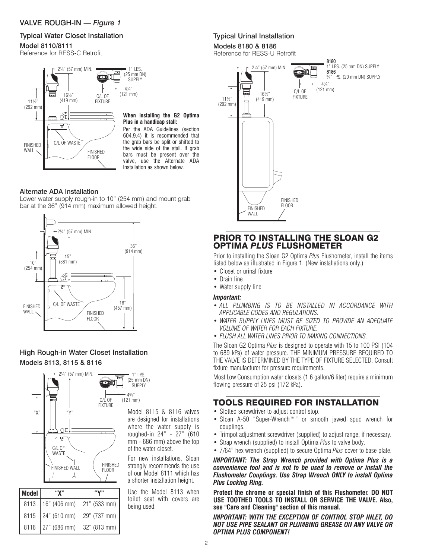### VALVE ROUGH-IN — *Figure 1*

### Typical Water Closet Installation

#### Model 8110/8111

Reference for RESS-C Retrofit



#### **When installing the G2 Optima Plus in a handicap stall:**

Per the ADA Guidelines (section 604.9.4) it is recommended that the grab bars be split or shifted to the wide side of the stall. If grab bars must be present over the valve, use the Alternate ADA Installation as shown below.

### Alternate ADA Installation

Lower water supply rough-in to 10" (254 mm) and mount grab bar at the 36" (914 mm) maximum allowed height.



### High Rough-in Water Closet Installation Models 8113, 8115 & 8116



| Model | "х"                   | "Y"          |
|-------|-----------------------|--------------|
| 8113  | 16" (406 mm)          | 21" (533 mm) |
|       | $8115$   24" (610 mm) | 29" (737 mm) |
|       | 8116 27" (686 mm)     | 32" (813 mm) |

are designed for installations where the water supply is roughed-in 24" - 27" (610 mm - 686 mm) above the top of the water closet.

For new installations, Sloan strongly recommends the use of our Model 8111 which has a shorter installation height.

Use the Model 8113 when toilet seat with covers are being used.

### Typical Urinal Installation

# Models 8180 & 8186

Reference for RESS-U Retrofit



# PRIOR TO INSTALLING THE SLOAN G2 OPTIMA *PLUS* FLUSHOMETER

Prior to installing the Sloan G2 Optima *Plus* Flushometer, install the items listed below as illustrated in Figure 1. (New installations only.)

- Closet or urinal fixture
- Drain line
- Water supply line

#### *Important:*

- *ALL PLUMBING IS TO BE INSTALLED IN ACCORDANCE WITH APPLICABLE CODES AND REGULATIONS.*
- *WATER SUPPLY LINES MUST BE SIZED TO PROVIDE AN ADEQUATE VOLUME OF WATER FOR EACH FIXTURE.*
- *FLUSH ALL WATER LINES PRIOR TO MAKING CONNECTIONS.*

The Sloan G2 Optima *Plus* is designed to operate with 15 to 100 PSI (104 to 689 kPa) of water pressure. THE MINIMUM PRESSURE REQUIRED TO THE VALVE IS DETERMINED BY THE TYPE OF FIXTURE SELECTED. Consult fixture manufacturer for pressure requirements.

Most Low Consumption water closets (1.6 gallon/6 liter) require a minimum flowing pressure of 25 psi (172 kPa).

# TOOLS REQUIRED FOR INSTALLATION

- Slotted screwdriver to adjust control stop.
- Sloan A-50 "Super-Wrench™" or smooth jawed spud wrench for couplings.
- Trimpot adjustment screwdriver (supplied) to adjust range, if necessary.
- Strap wrench (supplied) to install Optima *Plus* to valve body.
- 7/64" hex wrench (supplied) to secure Optima *Plus* cover to base plate.

*IMPORTANT: The Strap Wrench provided with Optima Plus is a convenience tool and is not to be used to remove or install the Flushometer Couplings. Use Strap Wrench ONLY to install Optima Plus Locking Ring.*

**Protect the chrome or special finish of this Flushometer. DO NOT USE TOOTHED TOOLS TO INSTALL OR SERVICE THE VALVE. Also, see "Care and Cleaning" section of this manual.**

*IMPORTANT: WITH THE EXCEPTION OF CONTROL STOP INLET, DO NOT USE PIPE SEALANT OR PLUMBING GREASE ON ANY VALVE OR OPTIMA PLUS COMPONENT!*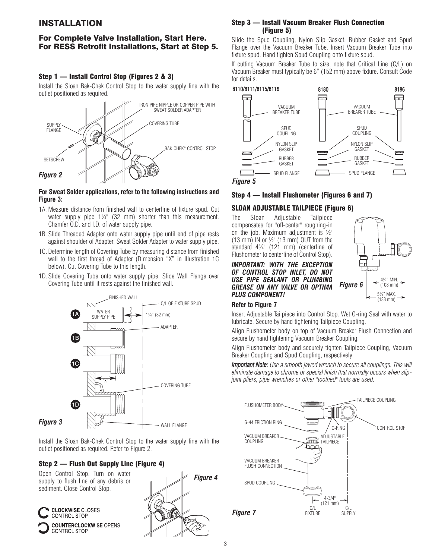# INSTALLATION

### For Complete Valve Installation, Start Here. For RESS Retrofit Installations, Start at Step 5.

#### Step 1 — Install Control Stop (Figures 2 & 3)

Install the Sloan Bak-Chek Control Stop to the water supply line with the outlet positioned as required.



#### **For Sweat Solder applications, refer to the following instructions and Figure 3:**

- 1A. Measure distance from finished wall to centerline of fixture spud. Cut water supply pipe  $1\frac{1}{4}$ " (32 mm) shorter than this measurement. Chamfer O.D. and I.D. of water supply pipe.
- 1B. Slide Threaded Adapter onto water supply pipe until end of pipe rests against shoulder of Adapter. Sweat Solder Adapter to water supply pipe.
- 1C. Determine length of Covering Tube by measuring distance from finished wall to the first thread of Adapter (Dimension "X" in Illustration 1C below). Cut Covering Tube to this length.
- 1D. Slide Covering Tube onto water supply pipe. Slide Wall Flange over Covering Tube until it rests against the finished wall.



Install the Sloan Bak-Chek Control Stop to the water supply line with the outlet positioned as required. Refer to Figure 2.

#### Step 2 — Flush Out Supply Line (Figure 4)

Open Control Stop. Turn on water supply to flush line of any debris or sediment. Close Control Stop.





#### Step 3 — Install Vacuum Breaker Flush Connection (Figure 5)

Slide the Spud Coupling, Nylon Slip Gasket, Rubber Gasket and Spud Flange over the Vacuum Breaker Tube. Insert Vacuum Breaker Tube into fixture spud. Hand tighten Spud Coupling onto fixture spud.

If cutting Vacuum Breaker Tube to size, note that Critical Line (C/L) on Vacuum Breaker must typically be 6" (152 mm) above fixture. Consult Code for details.



### Step 4 — Install Flushometer (Figures 6 and 7)

# SLOAN ADJUSTABLE TAILPIECE (Figure 6)

The Sloan Adjustable Tailpiece compensates for "off-center" roughing-in on the job. Maximum adjustment is  $\frac{1}{2}$ " (13 mm) IN or  $\frac{1}{2}$ " (13 mm) OUT from the standard 4¾" (121 mm) (centerline of Flushometer to centerline of Control Stop).

*IMPORTANT: WITH THE EXCEPTION OF CONTROL STOP INLET, DO NOT USE PIPE SEALANT OR PLUMBING GREASE ON ANY VALVE OR OPTIMA PLUS COMPONENT!*



#### **Refer to Figure 7**

Insert Adjustable Tailpiece into Control Stop. Wet O-ring Seal with water to lubricate. Secure by hand tightening Tailpiece Coupling.

Align Flushometer body on top of Vacuum Breaker Flush Connection and secure by hand tightening Vacuum Breaker Coupling.

Align Flushometer body and securely tighten Tailpiece Coupling, Vacuum Breaker Coupling and Spud Coupling, respectively.

*Important Note: Use a smooth jawed wrench to secure all couplings. This will eliminate damage to chrome or special finish that normally occurs when slipjoint pliers, pipe wrenches or other "toothed" tools are used.*

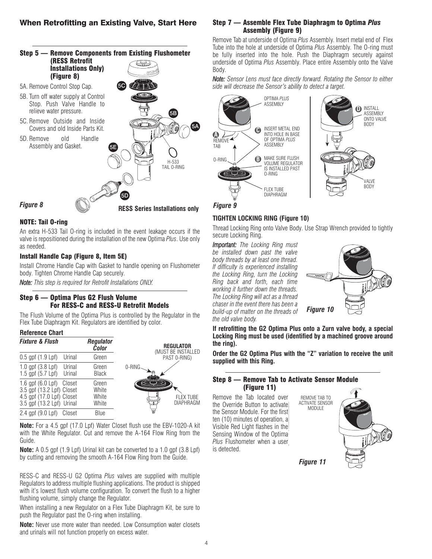

### NOTE: Tail O-ring

An extra H-533 Tail O-ring is included in the event leakage occurs if the valve is repositioned during the installation of the new Optima *Plus*. Use only as needed.

#### Install Handle Cap (Figure 8, Item 5E)

Install Chrome Handle Cap with Gasket to handle opening on Flushometer body. Tighten Chrome Handle Cap securely.

*Note: This step is required for Retrofit Installations ONLY.*

#### Step 6 — Optima Plus G2 Flush Volume For RESS-C and RESS-U Retrofit Models

The Flush Volume of the Optima Plus is controlled by the Regulator in the Flex Tube Diaphragm Kit. Regulators are identified by color.

#### **Reference Chart**



**Note:** For a 4.5 gpf (17.0 Lpf) Water Closet flush use the EBV-1020-A kit with the White Regulator. Cut and remove the A-164 Flow Ring from the Guide.

**Note:** A 0.5 gpf (1.9 Lpf) Urinal kit can be converted to a 1.0 gpf (3.8 Lpf) by cutting and removing the smooth A-164 Flow Ring from the Guide.

RESS-C and RESS-U G2 Optima *Plus* valves are supplied with multiple Regulators to address multiple flushing applications. The product is shipped with it's lowest flush volume configuration. To convert the flush to a higher flushing volume, simply change the Regulator.

When installing a new Regulator on a Flex Tube Diaphragm Kit, be sure to push the Regulator past the O-ring when installing.

**Note:** Never use more water than needed. Low Consumption water closets and urinals will not function properly on excess water.

#### Step 7 — Assemble Flex Tube Diaphragm to Optima *Plus* Assembly (Figure 9)

Remove Tab at underside of Optima *Plus* Assembly. Insert metal end of Flex Tube into the hole at underside of Optima *Plus* Assembly. The O-ring must be fully inserted into the hole. Push the Diaphragm securely against underside of Optima *Plus* Assembly. Place entire Assembly onto the Valve Body.

*Note: Sensor Lens must face directly forward. Rotating the Sensor to either side will decrease the Sensor's ability to detect a target.*



*Figure 9*

#### **TIGHTEN LOCKING RING (Figure 10)**

Thread Locking Ring onto Valve Body. Use Strap Wrench provided to tightly secure Locking Ring.

*Important: The Locking Ring must be installed down past the valve body threads by at least one thread. If difficulty is experienced installing the Locking Ring, turn the Locking Ring back and forth, each time working it further down the threads. The Locking Ring will act as a thread chaser in the event there has been a build-up of matter on the threads of the old valve body.*



**If retrofitting the G2 Optima Plus onto a Zurn valve body, a special Locking Ring must be used (identified by a machined groove around the ring).**

**Order the G2 Optima Plus with the "Z" variation to receive the unit supplied with this Ring.**

#### Step 8 — Remove Tab to Activate Sensor Module (Figure 11)

Remove the Tab located over the Override Button to activate the Sensor Module. For the first ten (10) minutes of operation, a Visible Red Light flashes in the Sensing Window of the Optima *Plus* Flushometer when a user is detected.



*Figure 11*

MODULE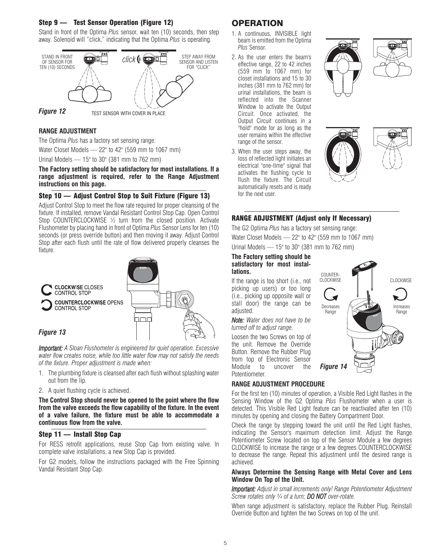#### Step 9 — Test Sensor Operation (Figure 12)

Stand in front of the Optima *Plus* sensor, wait ten (10) seconds, then step away. Solenoid will "click," indicating that the Optima *Plus* is operating.



#### **RANGE ADJUSTMENT**

The Optima *Plus* has a factory set sensing range:

Water Closet Models — 22" to 42" (559 mm to 1067 mm)

Urinal Models — 15" to 30" (381 mm to 762 mm)

**The Factory setting should be satisfactory for most installations. If a range adjustment is required, refer to the Range Adjustment instructions on this page.**

### Step 10 — Adjust Control Stop to Suit Fixture (Figure 13)

Adjust Control Stop to meet the flow rate required for proper cleansing of the fixture. If installed, remove Vandal Resistant Control Stop Cap. Open Control Stop COUNTERCLOCKWISE ½ turn from the closed position. Activate Flushometer by placing hand in front of Optima *Plus* Sensor Lens for ten (10) seconds (or press override button) and then moving it away. Adjust Control Stop after each flush until the rate of flow delivered properly cleanses the fixture.



*Important: A Sloan Flushometer is engineered for quiet operation. Excessive water flow creates noise, while too little water flow may not satisfy the needs of the fixture. Proper adjustment is made when:*

- 1. The plumbing fixture is cleansed after each flush without splashing water out from the lip.
- 2. A quiet flushing cycle is achieved.

**The Control Stop should never be opened to the point where the flow from the valve exceeds the flow capability of the fixture. In the event of a valve failure, the fixture must be able to accommodate a continuous flow from the valve.**

### Step 11 — Install Stop Cap

For RESS retrofit applications, reuse Stop Cap from existing valve. In complete valve installations, a new Stop Cap is provided.

For G2 models, follow the instructions packaged with the Free Spinning Vandal Resistant Stop Cap.

# **OPERATION**

- 1. A continuous, INVISIBLE light beam is emitted from the Optima *Plus* Sensor.
- 2. As the user enters the beam's effective range, 22 to 42 inches (559 mm to 1067 mm) for closet installations and 15 to 30 inches (381 mm to 762 mm) for urinal installations, the beam is reflected into the Scanner Window to activate the Output Circuit. Once activated, the Output Circuit continues in a "hold" mode for as long as the user remains within the effective range of the sensor.
- 3. When the user steps away, the loss of reflected light initiates an electrical "one-time" signal that activates the flushing cycle to flush the fixture. The Circuit automatically resets and is ready for the next user.









**CLOCKWISE** 

Increases Range

### RANGE ADJUSTMENT (Adjust only If Necessary)

The G2 Optima *Plus* has a factory set sensing range: Water Closet Models — 22" to 42" (559 mm to 1067 mm) Urinal Models — 15" to 30" (381 mm to 762 mm)

#### **The Factory setting should be satisfactory for most installations.**

If the range is too short (i.e., not picking up users) or too long (i.e., picking up opposite wall or stall door) the range can be adjusted.

*Note: Water does not have to be turned off to adjust range.*

Loosen the two Screws on top of the unit. Remove the Override Button. Remove the Rubber Plug from top of Electronic Sensor Module to uncover the Potentiometer.

### **RANGE ADJUSTMENT PROCEDURE**

For the first ten (10) minutes of operation, a Visible Red Light flashes in the Sensing Window of the G2 Optima *Plus* Flushometer when a user is detected. This Visible Red Light feature can be reactivated after ten (10) minutes by opening and closing the Battery Compartment Door.

COUNTER-<br>CLOCKWISE

Decreases Range

◢

*Figure 14*

Check the range by stepping toward the unit until the Red Light flashes, indicating the Sensor's maximum detection limit. Adjust the Range Potentiometer Screw located on top of the Sensor Module a few degrees CLOCKWISE to increase the range or a few degrees COUNTERCLOCKWISE to decrease the range. Repeat this adjustment until the desired range is achieved.

#### **Always Determine the Sensing Range with Metal Cover and Lens Window On Top of the Unit.**

*Important: Adjust in small increments only! Range Potentiometer Adjustment Screw rotates only ¾ of a turn; DO NOT over-rotate.*

When range adjustment is satisfactory, replace the Rubber Plug. Reinstall Override Button and tighten the two Screws on top of the unit.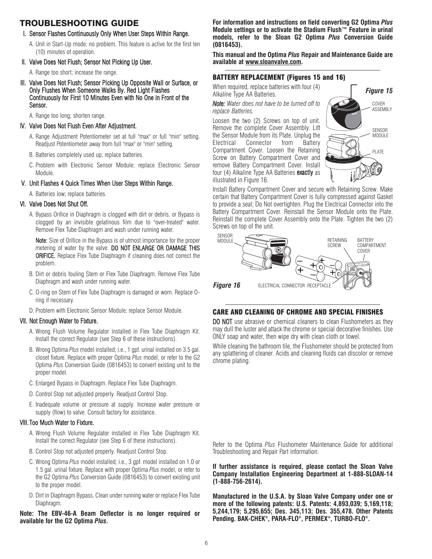# TROUBLESHOOTING GUIDE

#### I. Sensor Flashes Continuously Only When User Steps Within Range.

A. Unit in Start-Up mode; no problem. This feature is active for the first ten (10) minutes of operation.

#### II. Valve Does Not Flush; Sensor Not Picking Up User.

A. Range too short; increase the range.

III. Valve Does Not Flush; Sensor Picking Up Opposite Wall or Surface, or Only Flushes When Someone Walks By. Red Light Flashes Continuously for First 10 Minutes Even with No One in Front of the Sensor.

A. Range too long; shorten range.

- IV. Valve Does Not Flush Even After Adjustment.
	- A. Range Adjustment Potentiometer set at full "max" or full "min" setting. Readjust Potentiometer away from full "max" or "min" setting.
	- B. Batteries completely used up; replace batteries.
	- C. Problem with Electronic Sensor Module; replace Electronic Sensor Module.

#### V. Unit Flashes 4 Quick Times When User Steps Within Range.

A. Batteries low; replace batteries.

#### VI. Valve Does Not Shut Off.

A. Bypass Orifice in Diaphragm is clogged with dirt or debris, or Bypass is clogged by an invisible gelatinous film due to "over-treated" water. Remove Flex Tube Diaphragm and wash under running water.

Note: Size of Orifice in the Bypass is of utmost importance for the proper metering of water by the valve. DO NOT ENLARGE OR DAMAGE THIS **ORIFICE.** Replace Flex Tube Diaphragm if cleaning does not correct the problem.

- B. Dirt or debris fouling Stem or Flex Tube Diaphragm. Remove Flex Tube Diaphragm and wash under running water.
- C. O-ring on Stem of Flex Tube Diaphragm is damaged or worn. Replace Oring if necessary.
- D. Problem with Electronic Sensor Module; replace Sensor Module.

#### VII. Not Enough Water to Fixture.

- A. Wrong Flush Volume Regulator installed in Flex Tube Diaphragm Kit. Install the correct Regulator (see Step 6 of these instructions).
- B. Wrong Optima *Plus* model installed; i.e., 1 gpf. urinal installed on 3.5 gal. closet fixture. Replace with proper Optima *Plus* model, or refer to the G2 Optima *Plus* Conversion Guide (0816453) to convert existing unit to the proper model.
- C. Enlarged Bypass in Diaphragm. Replace Flex Tube Diaphragm.
- D. Control Stop not adjusted properly. Readjust Control Stop.
- E. Inadequate volume or pressure at supply. Increase water pressure or supply (flow) to valve. Consult factory for assistance.

#### VIII. Too Much Water to Fixture.

- A. Wrong Flush Volume Regulator installed in Flex Tube Diaphragm Kit. Install the correct Regulator (see Step 6 of these instructions).
- B. Control Stop not adjusted properly. Readjust Control Stop.
- C. Wrong Optima *Plus* model installed; i.e., 3 gpf. model installed on 1.0 or 1.5 gal. urinal fixture. Replace with proper Optima *Plus* model, or refer to the G2 Optima *Plus* Conversion Guide (0816453) to convert existing unit to the proper model.
- D. Dirt in Diaphragm Bypass. Clean under running water or replace Flex Tube Diaphragm.

**Note: The EBV-46-A Beam Deflector is no longer required or available for the G2 Optima** *Plus***.**

**For information and instructions on field converting G2 Optima** *Plus* **Module settings or to activate the Stadium Flush™ Feature in urinal models, refer to the Sloan G2 Optima** *Plus* **Conversion Guide (0816453).**

**This manual and the Optima** *Plus* **Repair and Maintenance Guide are available at www.sloanvalve.com.**

### BATTERY REPLACEMENT (Figures 15 and 16)

When required, replace batteries with four (4) Alkaline Type AA Batteries.

*Note: Water does not have to be turned off to replace Batteries.*

Loosen the two (2) Screws on top of unit. Remove the complete Cover Assembly. Lift the Sensor Module from its Plate. Unplug the Electrical Connector from Battery Compartment Cover. Loosen the Retaining Screw on Battery Compartment Cover and remove Battery Compartment Cover. Install four (4) Alkaline Type AA Batteries exactly as illustrated in Figure 16.



Install Battery Compartment Cover and secure with Retaining Screw. Make certain that Battery Compartment Cover is fully compressed against Gasket to provide a seal; Do Not overtighten. Plug the Electrical Connector into the Battery Compartment Cover. Reinstall the Sensor Module onto the Plate. Reinstall the complete Cover Assembly onto the Plate. Tighten the two (2) Screws on top of the unit.



### CARE AND CLEANING OF CHROME AND SPECIAL FINISHES

DO NOT use abrasive or chemical cleaners to clean Flushometers as they may dull the luster and attack the chrome or special decorative finishes. Use ONLY soap and water, then wipe dry with clean cloth or towel.

While cleaning the bathroom tile, the Flushometer should be protected from any splattering of cleaner. Acids and cleaning fluids can discolor or remove chrome plating.

Refer to the Optima *Plus* Flushometer Maintenance Guide for additional Troubleshooting and Repair Part information.

**If further assistance is required, please contact the Sloan Valve Company Installation Engineering Department at 1-888-SLOAN-14 (1-888-756-2614).**

**Manufactured in the U.S.A. by Sloan Valve Company under one or more of the following patents: U.S. Patents: 4,893,039; 5,169,118; 5,244,179; 5,295,655; Des. 345,113; Des. 355,478. Other Patents Pending. BAK-CHEK®, PARA-FLO®, PERMEX®, TURBO-FLO®.**